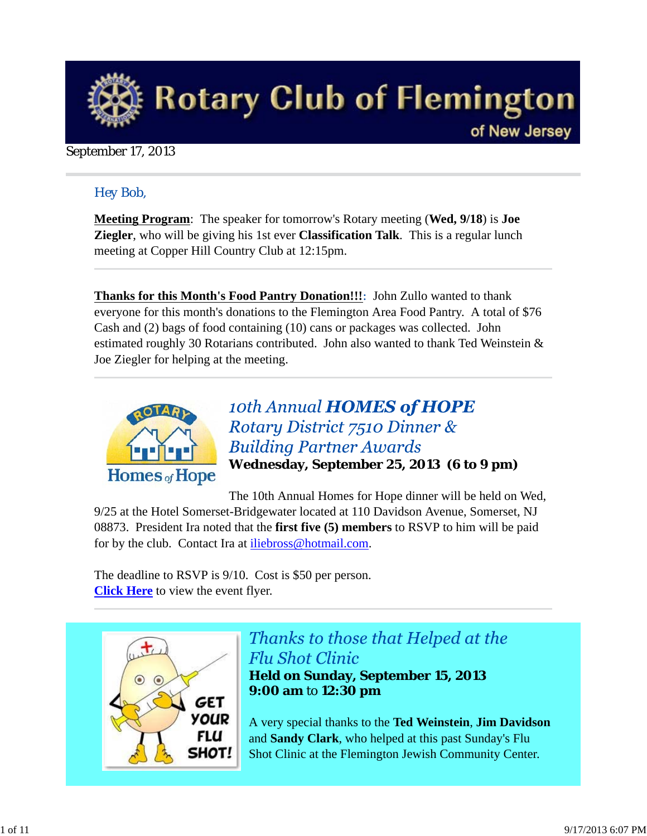

### September 17, 2013

### *Hey Bob,*

**Meeting Program**: The speaker for tomorrow's Rotary meeting (**Wed, 9/18**) is **Joe Ziegler**, who will be giving his 1st ever **Classification Talk**. This is a regular lunch meeting at Copper Hill Country Club at 12:15pm.

**Thanks for this Month's Food Pantry Donation!!!**: John Zullo wanted to thank everyone for this month's donations to the Flemington Area Food Pantry. A total of \$76 Cash and (2) bags of food containing (10) cans or packages was collected. John estimated roughly 30 Rotarians contributed. John also wanted to thank Ted Weinstein & Joe Ziegler for helping at the meeting.



10th Annual **HOMES** of **HOPE** Rotary District 7510 Dinner & **Building Partner Awards Wednesday, September 25, 2013 (6 to 9 pm)**

The 10th Annual Homes for Hope dinner will be held on Wed, 9/25 at the Hotel Somerset-Bridgewater located at 110 Davidson Avenue, Somerset, NJ 08873. President Ira noted that the **first five (5) members** to RSVP to him will be paid for by the club. Contact Ira at *iliebross@hotmail.com*.

The deadline to RSVP is 9/10. Cost is \$50 per person. **Click Here** to view the event flyer.



# Thanks to those that Helped at the **Flu Shot Clinic**

**Held on Sunday, September 15, 2013 9:00 am** to **12:30 pm**

A very special thanks to the **Ted Weinstein**, **Jim Davidson** and **Sandy Clark**, who helped at this past Sunday's Flu Shot Clinic at the Flemington Jewish Community Center.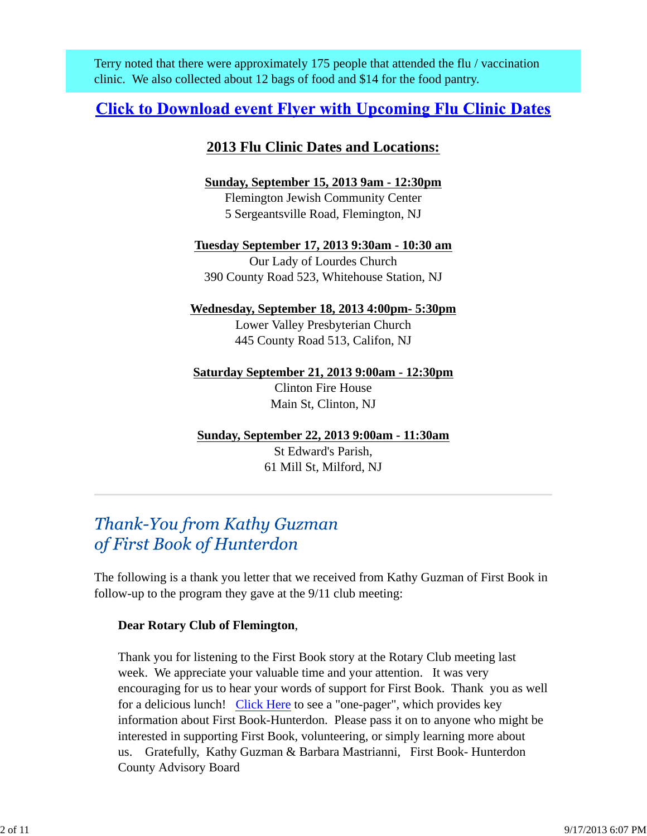Terry noted that there were approximately 175 people that attended the flu / vaccination clinic. We also collected about 12 bags of food and \$14 for the food pantry.

## **Click to Download event Flyer with Upcoming Flu Clinic Dates**

### **2013 Flu Clinic Dates and Locations:**

**Sunday, September 15, 2013 9am - 12:30pm** Flemington Jewish Community Center 5 Sergeantsville Road, Flemington, NJ

**Tuesday September 17, 2013 9:30am - 10:30 am** Our Lady of Lourdes Church 390 County Road 523, Whitehouse Station, NJ

### **Wednesday, September 18, 2013 4:00pm- 5:30pm**

Lower Valley Presbyterian Church 445 County Road 513, Califon, NJ

**Saturday September 21, 2013 9:00am - 12:30pm** Clinton Fire House Main St, Clinton, NJ

**Sunday, September 22, 2013 9:00am - 11:30am**

St Edward's Parish, 61 Mill St, Milford, NJ

## Thank-You from Kathy Guzman of First Book of Hunterdon

The following is a thank you letter that we received from Kathy Guzman of First Book in follow-up to the program they gave at the 9/11 club meeting:

### **Dear Rotary Club of Flemington**,

Thank you for listening to the First Book story at the Rotary Club meeting last week. We appreciate your valuable time and your attention. It was very encouraging for us to hear your words of support for First Book. Thank you as well for a delicious lunch! Click Here to see a "one-pager", which provides key information about First Book-Hunterdon. Please pass it on to anyone who might be interested in supporting First Book, volunteering, or simply learning more about us. Gratefully, Kathy Guzman & Barbara Mastrianni, First Book- Hunterdon County Advisory Board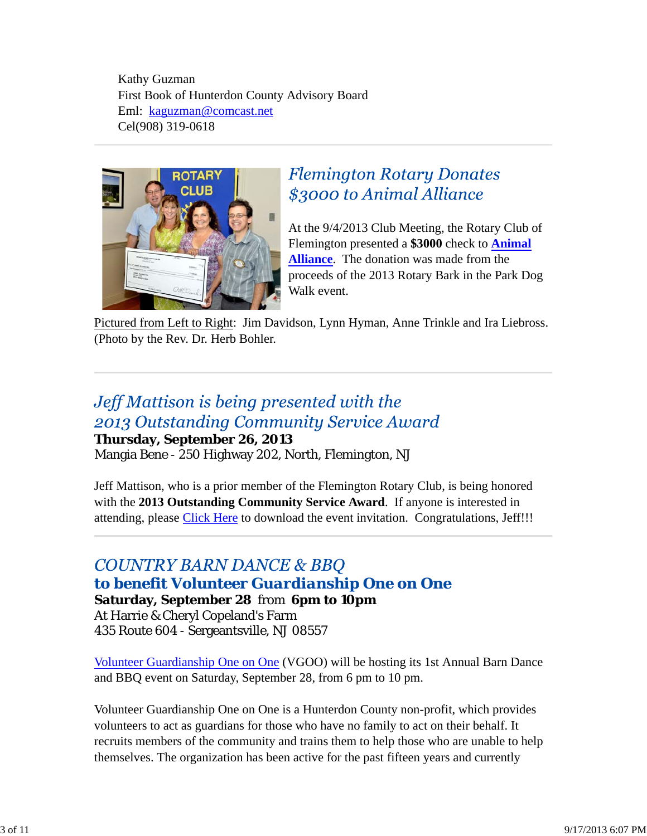Kathy Guzman First Book of Hunterdon County Advisory Board Eml: kaguzman@comcast.net Cel(908) 319-0618



## **Flemington Rotary Donates** \$3000 to Animal Alliance

At the 9/4/2013 Club Meeting, the Rotary Club of Flemington presented a **\$3000** check to **Animal Alliance**. The donation was made from the proceeds of the 2013 Rotary Bark in the Park Dog Walk event.

Pictured from Left to Right: Jim Davidson, Lynn Hyman, Anne Trinkle and Ira Liebross. (Photo by the Rev. Dr. Herb Bohler.

# Jeff Mattison is being presented with the 2013 Outstanding Community Service Award

### **Thursday, September 26, 2013**

Mangia Bene - 250 Highway 202, North, Flemington, NJ

Jeff Mattison, who is a prior member of the Flemington Rotary Club, is being honored with the **2013 Outstanding Community Service Award**. If anyone is interested in attending, please Click Here to download the event invitation. Congratulations, Jeff!!!

### **COUNTRY BARN DANCE & BBQ** *to benefit Volunteer Guardianship One on One* **Saturday, September 28** from **6pm to 10pm** At Harrie & Cheryl Copeland's Farm 435 Route 604 - Sergeantsville, NJ 08557

Volunteer Guardianship One on One (VGOO) will be hosting its 1st Annual Barn Dance and BBQ event on Saturday, September 28, from 6 pm to 10 pm.

Volunteer Guardianship One on One is a Hunterdon County non-profit, which provides volunteers to act as guardians for those who have no family to act on their behalf. It recruits members of the community and trains them to help those who are unable to help themselves. The organization has been active for the past fifteen years and currently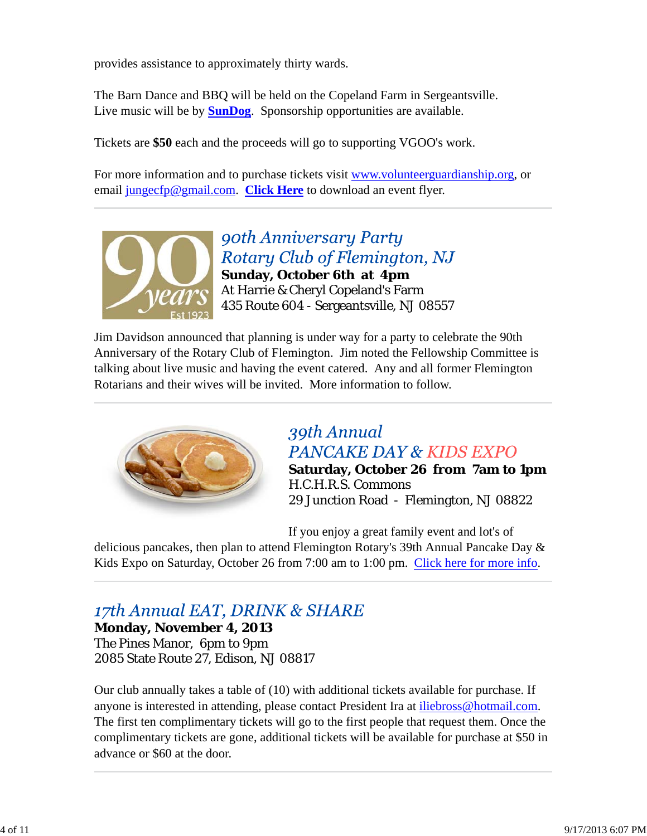provides assistance to approximately thirty wards.

The Barn Dance and BBQ will be held on the Copeland Farm in Sergeantsville. Live music will be by **SunDog**. Sponsorship opportunities are available.

Tickets are **\$50** each and the proceeds will go to supporting VGOO's work.

For more information and to purchase tickets visit www.volunteerguardianship.org, or email jungecfp@gmail.com. **Click Here** to download an event flyer.



90th Anniversary Party Rotary Club of Flemington, NJ **Sunday, October 6th at 4pm** At Harrie & Cheryl Copeland's Farm 435 Route 604 - Sergeantsville, NJ 08557

Jim Davidson announced that planning is under way for a party to celebrate the 90th Anniversary of the Rotary Club of Flemington. Jim noted the Fellowship Committee is talking about live music and having the event catered. Any and all former Flemington Rotarians and their wives will be invited. More information to follow.



## 39th Annual **PANCAKE DAY & KIDS EXPO**

**Saturday, October 26 from 7am to 1pm** H.C.H.R.S. Commons 29 Junction Road - Flemington, NJ 08822

If you enjoy a great family event and lot's of

delicious pancakes, then plan to attend Flemington Rotary's 39th Annual Pancake Day & Kids Expo on Saturday, October 26 from 7:00 am to 1:00 pm. Click here for more info.

# 17th Annual EAT, DRINK & SHARE

**Monday, November 4, 2013** The Pines Manor, 6pm to 9pm 2085 State Route 27, Edison, NJ 08817

Our club annually takes a table of (10) with additional tickets available for purchase. If anyone is interested in attending, please contact President Ira at iliebross@hotmail.com. The first ten complimentary tickets will go to the first people that request them. Once the complimentary tickets are gone, additional tickets will be available for purchase at \$50 in advance or \$60 at the door.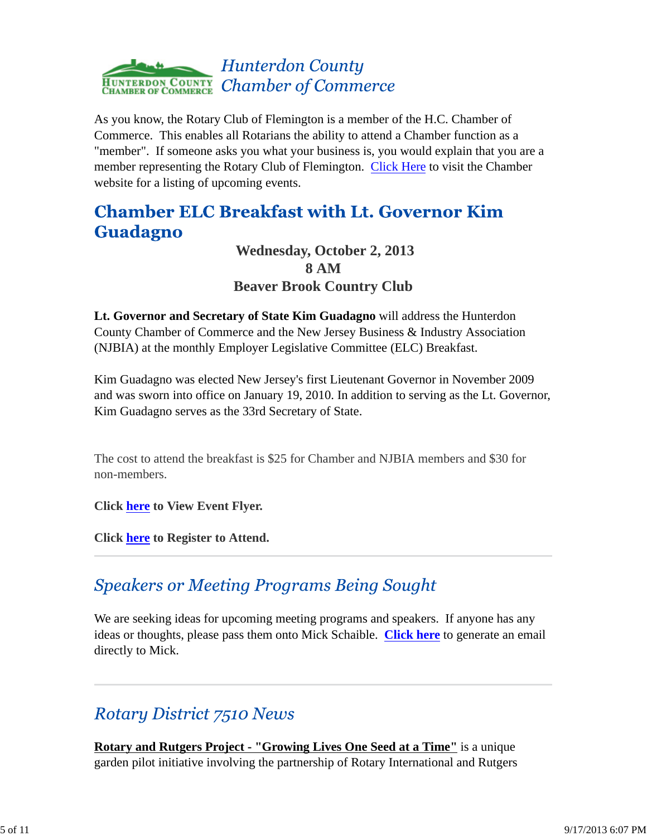

As you know, the Rotary Club of Flemington is a member of the H.C. Chamber of Commerce. This enables all Rotarians the ability to attend a Chamber function as a "member". If someone asks you what your business is, you would explain that you are a member representing the Rotary Club of Flemington. Click Here to visit the Chamber website for a listing of upcoming events.

# **Chamber ELC Breakfast with Lt. Governor Kim Guadagno**

 **Wednesday, October 2, 2013 8 AM Beaver Brook Country Club**

**Lt. Governor and Secretary of State Kim Guadagno** will address the Hunterdon County Chamber of Commerce and the New Jersey Business & Industry Association (NJBIA) at the monthly Employer Legislative Committee (ELC) Breakfast.

Kim Guadagno was elected New Jersey's first Lieutenant Governor in November 2009 and was sworn into office on January 19, 2010. In addition to serving as the Lt. Governor, Kim Guadagno serves as the 33rd Secretary of State.

The cost to attend the breakfast is \$25 for Chamber and NJBIA members and \$30 for non-members.

**Click here to View Event Flyer.**

**Click here to Register to Attend.**

# **Speakers or Meeting Programs Being Sought**

We are seeking ideas for upcoming meeting programs and speakers. If anyone has any ideas or thoughts, please pass them onto Mick Schaible. **Click here** to generate an email directly to Mick.

# **Rotary District 7510 News**

**Rotary and Rutgers Project - "Growing Lives One Seed at a Time"** is a unique garden pilot initiative involving the partnership of Rotary International and Rutgers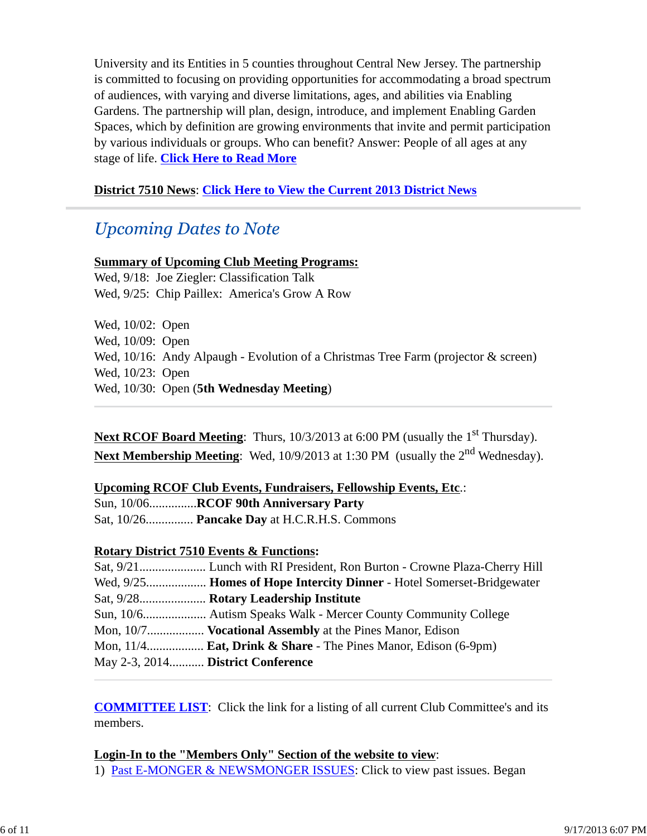University and its Entities in 5 counties throughout Central New Jersey. The partnership is committed to focusing on providing opportunities for accommodating a broad spectrum of audiences, with varying and diverse limitations, ages, and abilities via Enabling Gardens. The partnership will plan, design, introduce, and implement Enabling Garden Spaces, which by definition are growing environments that invite and permit participation by various individuals or groups. Who can benefit? Answer: People of all ages at any stage of life. **Click Here to Read More**

### **District 7510 News**: **Click Here to View the Current 2013 District News**

## **Upcoming Dates to Note**

#### **Summary of Upcoming Club Meeting Programs:**

Wed, 9/18: Joe Ziegler: Classification Talk Wed, 9/25: Chip Paillex: America's Grow A Row

Wed, 10/02: Open Wed, 10/09: Open Wed, 10/16: Andy Alpaugh - Evolution of a Christmas Tree Farm (projector & screen) Wed, 10/23: Open Wed, 10/30: Open (**5th Wednesday Meeting**)

Next RCOF Board Meeting: Thurs, 10/3/2013 at 6:00 PM (usually the 1<sup>st</sup> Thursday). **Next Membership Meeting**: Wed, 10/9/2013 at 1:30 PM (usually the 2<sup>nd</sup> Wednesday).

#### **Upcoming RCOF Club Events, Fundraisers, Fellowship Events, Etc**.:

Sun, 10/06...............**RCOF 90th Anniversary Party**

Sat, 10/26............... **Pancake Day** at H.C.R.H.S. Commons

### **Rotary District 7510 Events & Functions:**

|                                   | Mon, 10/7 <b>Vocational Assembly</b> at the Pines Manor, Edison             |
|-----------------------------------|-----------------------------------------------------------------------------|
|                                   | Mon, $11/4$ <b>Eat, Drink &amp; Share</b> - The Pines Manor, Edison (6-9pm) |
| May 2-3, 2014 District Conference |                                                                             |

**COMMITTEE LIST**: Click the link for a listing of all current Club Committee's and its members.

### **Login-In to the "Members Only" Section of the website to view**:

1) Past E-MONGER & NEWSMONGER ISSUES: Click to view past issues. Began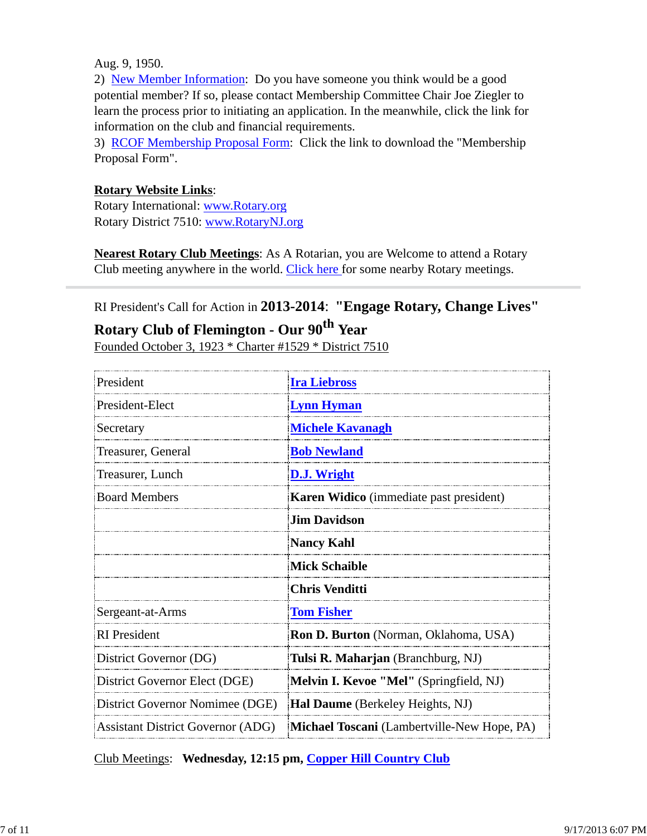Aug. 9, 1950.

2) New Member Information: Do you have someone you think would be a good potential member? If so, please contact Membership Committee Chair Joe Ziegler to learn the process prior to initiating an application. In the meanwhile, click the link for information on the club and financial requirements.

3) RCOF Membership Proposal Form: Click the link to download the "Membership Proposal Form".

#### **Rotary Website Links**:

Rotary International: www.Rotary.org Rotary District 7510: www.RotaryNJ.org

**Nearest Rotary Club Meetings**: As A Rotarian, you are Welcome to attend a Rotary Club meeting anywhere in the world. Click here for some nearby Rotary meetings.

### RI President's Call for Action in **2013-2014**: **"Engage Rotary, Change Lives"**

## **Rotary Club of Flemington - Our 90th Year**

Founded October 3, 1923 \* Charter #1529 \* District 7510

| President                                | <b>Ira Liebross</b>                         |  |  |
|------------------------------------------|---------------------------------------------|--|--|
| President-Elect                          | <b>Lynn Hyman</b>                           |  |  |
| Secretary                                | <b>Michele Kavanagh</b>                     |  |  |
| Treasurer, General                       | <b>Bob Newland</b>                          |  |  |
| Treasurer, Lunch                         | <b>D.J.</b> Wright                          |  |  |
| <b>Board Members</b>                     | Karen Widico (immediate past president)     |  |  |
|                                          | <b>Jim Davidson</b>                         |  |  |
|                                          | <b>Nancy Kahl</b>                           |  |  |
|                                          | Mick Schaible                               |  |  |
|                                          | <b>Chris Venditti</b>                       |  |  |
| Sergeant-at-Arms                         | <b>Tom Fisher</b>                           |  |  |
| <b>RI</b> President                      | Ron D. Burton (Norman, Oklahoma, USA)       |  |  |
| District Governor (DG)                   | Tulsi R. Maharjan (Branchburg, NJ)          |  |  |
| District Governor Elect (DGE)            | Melvin I. Kevoe "Mel" (Springfield, NJ)     |  |  |
| District Governor Nomimee (DGE)          | <b>Hal Daume</b> (Berkeley Heights, NJ)     |  |  |
| <b>Assistant District Governor (ADG)</b> | Michael Toscani (Lambertville-New Hope, PA) |  |  |

Club Meetings: **Wednesday, 12:15 pm, Copper Hill Country Club**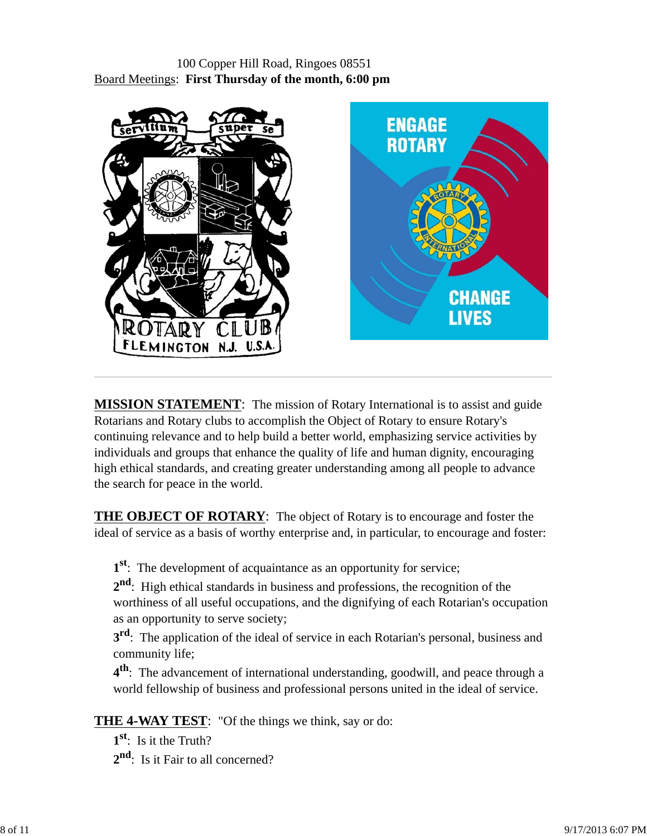### 100 Copper Hill Road, Ringoes 08551 Board Meetings: **First Thursday of the month, 6:00 pm**



**MISSION STATEMENT**: The mission of Rotary International is to assist and guide Rotarians and Rotary clubs to accomplish the Object of Rotary to ensure Rotary's continuing relevance and to help build a better world, emphasizing service activities by individuals and groups that enhance the quality of life and human dignity, encouraging high ethical standards, and creating greater understanding among all people to advance the search for peace in the world.

**THE OBJECT OF ROTARY**: The object of Rotary is to encourage and foster the ideal of service as a basis of worthy enterprise and, in particular, to encourage and foster:

**1st**: The development of acquaintance as an opportunity for service;

**2nd**: High ethical standards in business and professions, the recognition of the worthiness of all useful occupations, and the dignifying of each Rotarian's occupation as an opportunity to serve society;

**3<sup>rd</sup>**: The application of the ideal of service in each Rotarian's personal, business and community life;

**4th**: The advancement of international understanding, goodwill, and peace through a world fellowship of business and professional persons united in the ideal of service.

**THE 4-WAY TEST**: "Of the things we think, say or do:

**1st**: Is it the Truth? 2<sup>nd</sup>: Is it Fair to all concerned?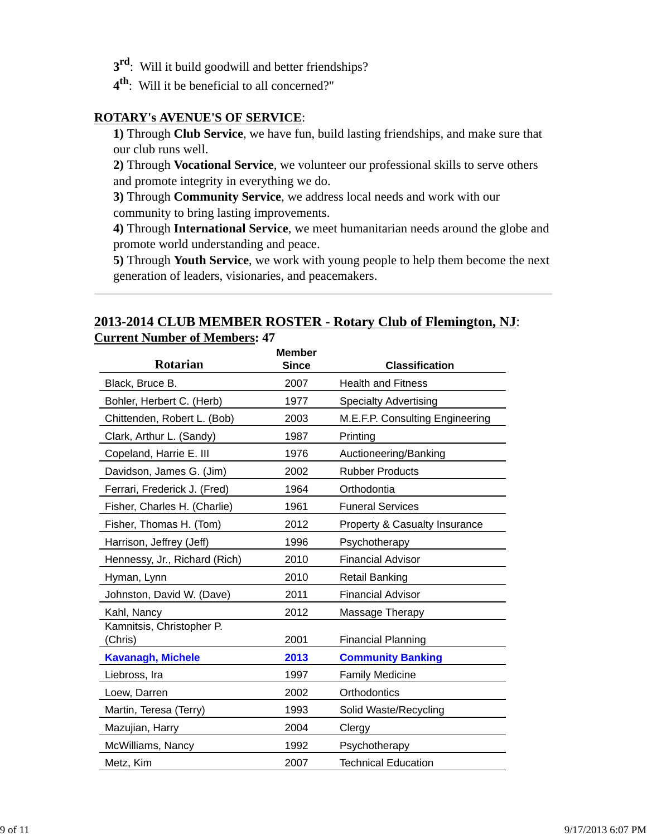- **3rd**: Will it build goodwill and better friendships?
- **4th**: Will it be beneficial to all concerned?"

#### **ROTARY's AVENUE'S OF SERVICE**:

**1)** Through **Club Service**, we have fun, build lasting friendships, and make sure that our club runs well.

**2)** Through **Vocational Service**, we volunteer our professional skills to serve others and promote integrity in everything we do.

**3)** Through **Community Service**, we address local needs and work with our community to bring lasting improvements.

**4)** Through **International Service**, we meet humanitarian needs around the globe and promote world understanding and peace.

**5)** Through **Youth Service**, we work with young people to help them become the next generation of leaders, visionaries, and peacemakers.

### **2013-2014 CLUB MEMBER ROSTER - Rotary Club of Flemington, NJ**: **Current Number of Members: 47**

| <b>Rotarian</b>                      | <b>Member</b><br><b>Since</b> | <b>Classification</b>           |
|--------------------------------------|-------------------------------|---------------------------------|
| Black, Bruce B.                      | 2007                          | <b>Health and Fitness</b>       |
| Bohler, Herbert C. (Herb)            | 1977                          | <b>Specialty Advertising</b>    |
| Chittenden, Robert L. (Bob)          | 2003                          | M.E.F.P. Consulting Engineering |
| Clark, Arthur L. (Sandy)             | 1987                          | Printing                        |
| Copeland, Harrie E. III              | 1976                          | Auctioneering/Banking           |
| Davidson, James G. (Jim)             | 2002                          | <b>Rubber Products</b>          |
| Ferrari, Frederick J. (Fred)         | 1964                          | Orthodontia                     |
| Fisher, Charles H. (Charlie)         | 1961                          | <b>Funeral Services</b>         |
| Fisher, Thomas H. (Tom)              | 2012                          | Property & Casualty Insurance   |
| Harrison, Jeffrey (Jeff)             | 1996                          | Psychotherapy                   |
| Hennessy, Jr., Richard (Rich)        | 2010                          | <b>Financial Advisor</b>        |
| Hyman, Lynn                          | 2010                          | <b>Retail Banking</b>           |
| Johnston, David W. (Dave)            | 2011                          | Financial Advisor               |
| Kahl, Nancy                          | 2012                          | Massage Therapy                 |
| Kamnitsis, Christopher P.<br>(Chris) | 2001                          | <b>Financial Planning</b>       |
| <b>Kavanagh, Michele</b>             | 2013                          | <b>Community Banking</b>        |
| Liebross, Ira                        | 1997                          | <b>Family Medicine</b>          |
| Loew, Darren                         | 2002                          | Orthodontics                    |
| Martin, Teresa (Terry)               | 1993                          | Solid Waste/Recycling           |
| Mazujian, Harry                      | 2004                          | Clergy                          |
| McWilliams, Nancy                    | 1992                          | Psychotherapy                   |
| Metz, Kim                            | 2007                          | <b>Technical Education</b>      |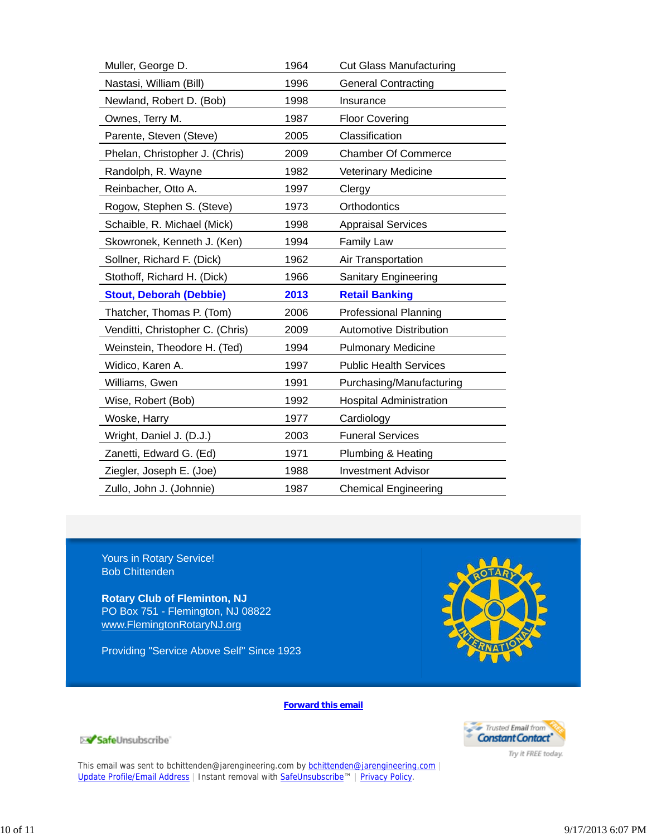| Muller, George D.                | 1964 | <b>Cut Glass Manufacturing</b> |
|----------------------------------|------|--------------------------------|
| Nastasi, William (Bill)          | 1996 | <b>General Contracting</b>     |
| Newland, Robert D. (Bob)         | 1998 | Insurance                      |
| Ownes, Terry M.                  | 1987 | <b>Floor Covering</b>          |
| Parente, Steven (Steve)          | 2005 | Classification                 |
| Phelan, Christopher J. (Chris)   | 2009 | <b>Chamber Of Commerce</b>     |
| Randolph, R. Wayne               | 1982 | Veterinary Medicine            |
| Reinbacher, Otto A.              | 1997 | Clergy                         |
| Rogow, Stephen S. (Steve)        | 1973 | Orthodontics                   |
| Schaible, R. Michael (Mick)      | 1998 | <b>Appraisal Services</b>      |
| Skowronek, Kenneth J. (Ken)      | 1994 | <b>Family Law</b>              |
| Sollner, Richard F. (Dick)       | 1962 | Air Transportation             |
| Stothoff, Richard H. (Dick)      | 1966 | Sanitary Engineering           |
| <b>Stout, Deborah (Debbie)</b>   | 2013 | <b>Retail Banking</b>          |
| Thatcher, Thomas P. (Tom)        | 2006 | <b>Professional Planning</b>   |
| Venditti, Christopher C. (Chris) | 2009 | <b>Automotive Distribution</b> |
| Weinstein, Theodore H. (Ted)     | 1994 | <b>Pulmonary Medicine</b>      |
| Widico, Karen A.                 | 1997 | <b>Public Health Services</b>  |
| Williams, Gwen                   | 1991 | Purchasing/Manufacturing       |
| Wise, Robert (Bob)               | 1992 | <b>Hospital Administration</b> |
| Woske, Harry                     | 1977 | Cardiology                     |
| Wright, Daniel J. (D.J.)         | 2003 | <b>Funeral Services</b>        |
| Zanetti, Edward G. (Ed)          | 1971 | Plumbing & Heating             |
| Ziegler, Joseph E. (Joe)         | 1988 | <b>Investment Advisor</b>      |
| Zullo, John J. (Johnnie)         | 1987 | <b>Chemical Engineering</b>    |

Yours in Rotary Service! Bob Chittenden

**Rotary Club of Fleminton, NJ** PO Box 751 - Flemington, NJ 08822 www.FlemingtonRotaryNJ.org

Providing "Service Above Self" Since 1923



**Forward this email**



Try it FREE today.

SafeUnsubscribe

This email was sent to bchittenden@jarengineering.com by bchittenden@jarengineering.com Update Profile/Email Address | Instant removal with SafeUnsubscribe™ | Privacy Policy.